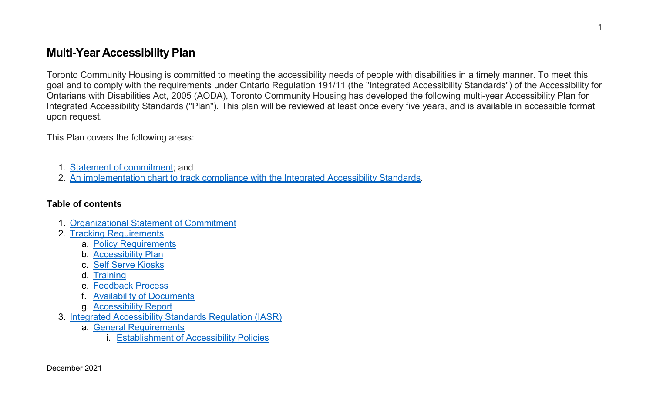## **Multi-Year Accessibility Plan**

Toronto Community Housing is committed to meeting the accessibility needs of people with disabilities in a timely manner. To meet this goal and to comply with the requirements under Ontario Regulation 191/11 (the "Integrated Accessibility Standards") of the Accessibility for Ontarians with Disabilities Act, 2005 (AODA), Toronto Community Housing has developed the following multi-year Accessibility Plan for Integrated Accessibility Standards ("Plan"). This plan will be reviewed at least once every five years, and is available in accessible format upon request.

This Plan covers the following areas:

- 1. Statement of [commitment;](#page-2-0) and
- 2. An [implementation](#page-2-1) chart to track compliance with the Integrated Accessibility Standards.

### **Table of contents**

`

- 1. [Organizational](#page-2-0) Statement of Commitment
- 2. [Tracking Requirements](#page-2-1)
	- a. Policy [Requirements](#page-2-2)
	- b. Accessibility Plan
	- c. Self [Serve Kiosks](#page-3-0)
	- d. [Training](#page-4-0)
	- e. [Feedback](#page-5-0) Process
	- f. Availability [of Documents](#page-5-1)
	- g. [Accessibility](#page-6-0) Report
- 3. Integrated [Accessibility](#page-7-0) Standards Regulation (IASR)
	- a. General [Requirements](#page-7-1)
		- i. [Establishment](#page-7-2) of Accessibility Policies

1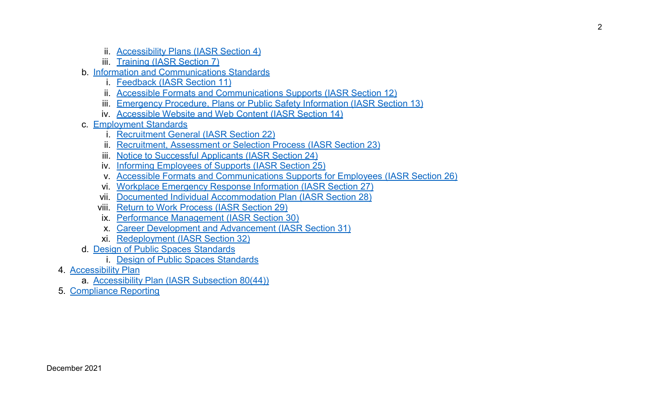- ii. [Accessibility](#page-8-0) Plans (IASR Section 4)
- iii. Training (IASR Section 7)
- b. Information and [Communications](#page-9-0) Standards
	- i. [Feedback](#page-9-1) (IASR Section 11)
	- ii. Accessible Formats and Communications Supports (IASR Section 12)
	- iii. [Emergency](#page-11-0) Procedure, Plans or Public Safety Information (IASR Section 13)
	- iv. Accessible Website and Web Content (IASR Section 14)
- c. [Employment Standards](#page-13-0)
	- i. Recruitment [General \(IASR](#page-13-1) Section 22)
	- ii. Recruitment, Assessment or Selection [Process \(IASR](#page-13-2) Section 23)
	- iii. Notice [to Successful Applicants](#page-14-0) (IASR Section 24)
	- iv. Informing [Employees of](#page-14-1) Supports (IASR Section 25)
	- v. Accessible Formats and Communications Supports for [Employees \(IASR](#page-15-0) Section 26)
	- vi. Workplace [Emergency](#page-16-0) Response Information (IASR Section 27)
	- vii. Documented Individual [Accommodation](#page-17-0) Plan (IASR Section 28)
	- viii. Return to Work [Process](#page-20-0) (IASR Section 29)
	- ix. Performance [Management](#page-21-0) (IASR Section 30)
	- x. Career Development [and Advancement](#page-21-1) (IASR Section 31)
	- xi. [Redeployment \(IASR](#page-22-0) Section 32)
- d. Design of Public [Spaces Standards](#page-23-0)
	- i. Design of Public [Spaces Standards](#page-23-1)
- 4. [Accessibility](#page-24-0) Plan
	- a. [Accessibility](#page-24-1) Plan (IASR Subsection 80(44))
- 5. [Compliance](#page-23-0) Reporting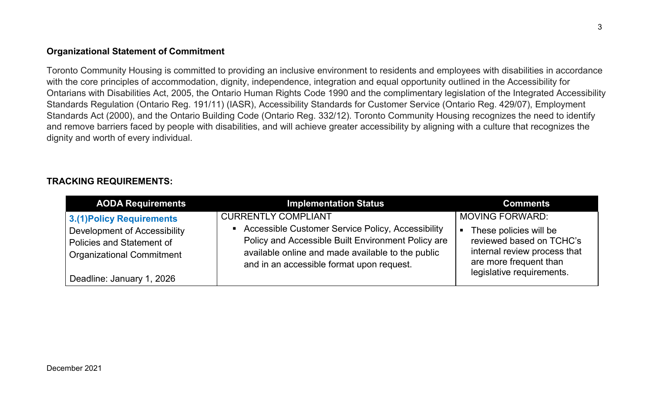### <span id="page-2-0"></span>**Organizational Statement of Commitment**

Toronto Community Housing is committed to providing an inclusive environment to residents and employees with disabilities in accordance with the core principles of accommodation, dignity, independence, integration and equal opportunity outlined in the Accessibility for Ontarians with Disabilities Act, 2005, the Ontario Human Rights Code 1990 and the complimentary legislation of the Integrated Accessibility Standards Regulation (Ontario Reg. 191/11) (IASR), Accessibility Standards for Customer Service (Ontario Reg. 429/07), Employment Standards Act (2000), and the Ontario Building Code (Ontario Reg. 332/12). Toronto Community Housing recognizes the need to identify and remove barriers faced by people with disabilities, and will achieve greater accessibility by aligning with a culture that recognizes the dignity and worth of every individual.

### <span id="page-2-1"></span>**TRACKING REQUIREMENTS:**

<span id="page-2-2"></span>

| <b>AODA Requirements</b>                                         | <b>Implementation Status</b>                                                                                                                         | <b>Comments</b>                                                                    |
|------------------------------------------------------------------|------------------------------------------------------------------------------------------------------------------------------------------------------|------------------------------------------------------------------------------------|
| <b>3.(1) Policy Requirements</b><br>Development of Accessibility | <b>CURRENTLY COMPLIANT</b><br>• Accessible Customer Service Policy, Accessibility                                                                    | <b>MOVING FORWARD:</b><br>These policies will be                                   |
| Policies and Statement of<br><b>Organizational Commitment</b>    | Policy and Accessible Built Environment Policy are<br>available online and made available to the public<br>and in an accessible format upon request. | reviewed based on TCHC's<br>internal review process that<br>are more frequent than |
| Deadline: January 1, 2026                                        |                                                                                                                                                      | legislative requirements.                                                          |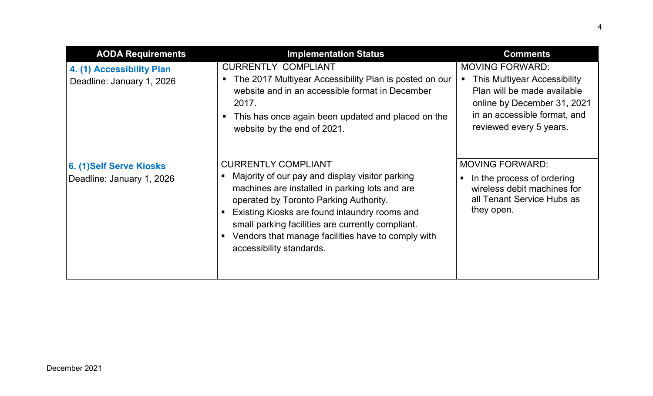<span id="page-3-0"></span>

| <b>AODA Requirements</b>                               | <b>Implementation Status</b>                                                                                                                                                                                                                                                                                                                                      | <b>Comments</b>                                                                                                                                                                        |
|--------------------------------------------------------|-------------------------------------------------------------------------------------------------------------------------------------------------------------------------------------------------------------------------------------------------------------------------------------------------------------------------------------------------------------------|----------------------------------------------------------------------------------------------------------------------------------------------------------------------------------------|
| 4. (1) Accessibility Plan<br>Deadline: January 1, 2026 | <b>CURRENTLY COMPLIANT</b><br>The 2017 Multiyear Accessibility Plan is posted on our<br>website and in an accessible format in December<br>2017.<br>This has once again been updated and placed on the<br>website by the end of 2021.                                                                                                                             | <b>MOVING FORWARD:</b><br><b>This Multiyear Accessibility</b><br>Plan will be made available<br>online by December 31, 2021<br>in an accessible format, and<br>reviewed every 5 years. |
| 6. (1)Self Serve Kiosks<br>Deadline: January 1, 2026   | <b>CURRENTLY COMPLIANT</b><br>Majority of our pay and display visitor parking<br>machines are installed in parking lots and are<br>operated by Toronto Parking Authority.<br>Existing Kiosks are found inlaundry rooms and<br>small parking facilities are currently compliant.<br>Vendors that manage facilities have to comply with<br>accessibility standards. | <b>MOVING FORWARD:</b><br>In the process of ordering<br>П<br>wireless debit machines for<br>all Tenant Service Hubs as<br>they open.                                                   |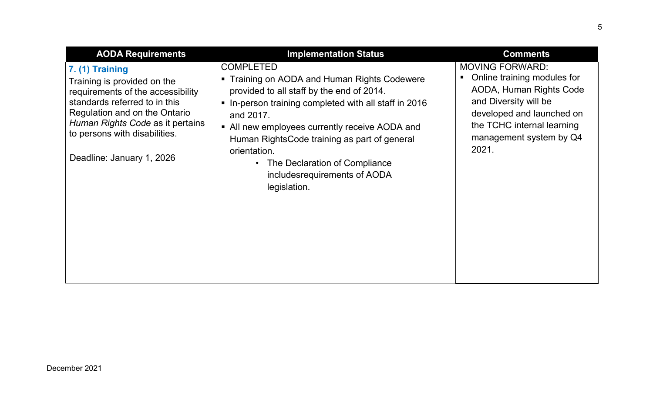<span id="page-4-0"></span>

| <b>AODA Requirements</b>                                                                                                                                                                                                                                  | <b>Implementation Status</b>                                                                                                                                                                                                                                                                                                                                                                                      | <b>Comments</b>                                                                                                                                                                                          |
|-----------------------------------------------------------------------------------------------------------------------------------------------------------------------------------------------------------------------------------------------------------|-------------------------------------------------------------------------------------------------------------------------------------------------------------------------------------------------------------------------------------------------------------------------------------------------------------------------------------------------------------------------------------------------------------------|----------------------------------------------------------------------------------------------------------------------------------------------------------------------------------------------------------|
| $7. (1)$ Training<br>Training is provided on the<br>requirements of the accessibility<br>standards referred to in this<br>Regulation and on the Ontario<br>Human Rights Code as it pertains<br>to persons with disabilities.<br>Deadline: January 1, 2026 | <b>COMPLETED</b><br>Training on AODA and Human Rights Codewere<br>provided to all staff by the end of 2014.<br>In-person training completed with all staff in 2016<br>$\blacksquare$<br>and 2017.<br>• All new employees currently receive AODA and<br>Human RightsCode training as part of general<br>orientation.<br>The Declaration of Compliance<br>$\bullet$<br>includesrequirements of AODA<br>legislation. | <b>MOVING FORWARD:</b><br>Online training modules for<br>AODA, Human Rights Code<br>and Diversity will be<br>developed and launched on<br>the TCHC internal learning<br>management system by Q4<br>2021. |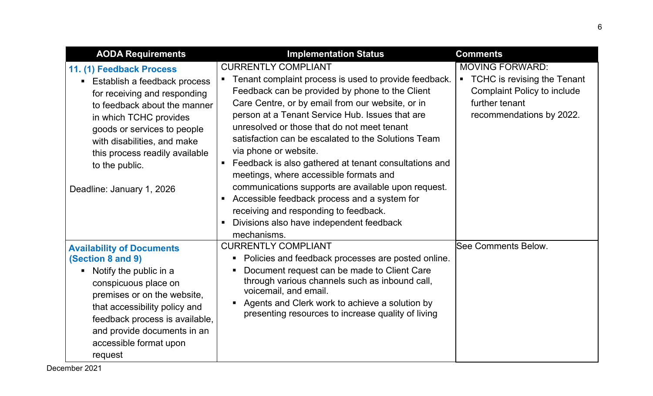<span id="page-5-1"></span><span id="page-5-0"></span>

| <b>AODA Requirements</b>                                                                                                                                                                                                                                                                            | <b>Implementation Status</b>                                                                                                                                                                                                                                                                                                                                                                                                                                                                                                                                                                                                                                                                    | <b>Comments</b>                                                                                                                             |
|-----------------------------------------------------------------------------------------------------------------------------------------------------------------------------------------------------------------------------------------------------------------------------------------------------|-------------------------------------------------------------------------------------------------------------------------------------------------------------------------------------------------------------------------------------------------------------------------------------------------------------------------------------------------------------------------------------------------------------------------------------------------------------------------------------------------------------------------------------------------------------------------------------------------------------------------------------------------------------------------------------------------|---------------------------------------------------------------------------------------------------------------------------------------------|
| 11. (1) Feedback Process<br>• Establish a feedback process<br>for receiving and responding<br>to feedback about the manner<br>in which TCHC provides<br>goods or services to people<br>with disabilities, and make<br>this process readily available<br>to the public.<br>Deadline: January 1, 2026 | <b>CURRENTLY COMPLIANT</b><br>Tenant complaint process is used to provide feedback.<br>Feedback can be provided by phone to the Client<br>Care Centre, or by email from our website, or in<br>person at a Tenant Service Hub. Issues that are<br>unresolved or those that do not meet tenant<br>satisfaction can be escalated to the Solutions Team<br>via phone or website.<br>Feedback is also gathered at tenant consultations and<br>meetings, where accessible formats and<br>communications supports are available upon request.<br>Accessible feedback process and a system for<br>receiving and responding to feedback.<br>Divisions also have independent feedback<br>п<br>mechanisms. | <b>MOVING FORWARD:</b><br>• TCHC is revising the Tenant<br><b>Complaint Policy to include</b><br>further tenant<br>recommendations by 2022. |
| <b>Availability of Documents</b><br>(Section 8 and 9)<br>• Notify the public in a<br>conspicuous place on<br>premises or on the website,<br>that accessibility policy and<br>feedback process is available,<br>and provide documents in an<br>accessible format upon<br>request                     | <b>CURRENTLY COMPLIANT</b><br>Policies and feedback processes are posted online.<br>п<br>Document request can be made to Client Care<br>through various channels such as inbound call,<br>voicemail, and email.<br>Agents and Clerk work to achieve a solution by<br>$\blacksquare$<br>presenting resources to increase quality of living                                                                                                                                                                                                                                                                                                                                                       | <b>See Comments Below.</b>                                                                                                                  |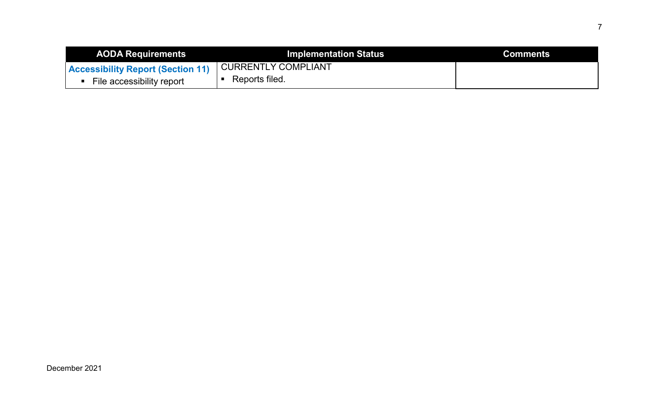<span id="page-6-0"></span>

| <b>AODA Requirements</b>                                | <b>Implementation Status</b> | <b>Comments</b> |
|---------------------------------------------------------|------------------------------|-----------------|
| ' Accessibility Report (Section 11) CURRENTLY COMPLIANT |                              |                 |
| File accessibility report                               | Reports filed.               |                 |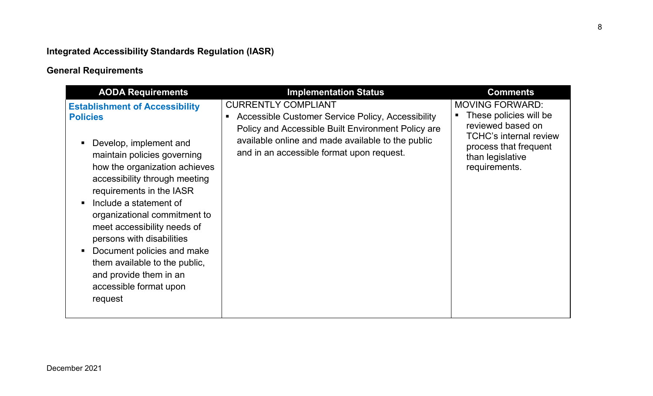# <span id="page-7-0"></span>**Integrated Accessibility Standards Regulation (IASR)**

# <span id="page-7-1"></span>**General Requirements**

<span id="page-7-2"></span>

| <b>CURRENTLY COMPLIANT</b><br><b>MOVING FORWARD:</b><br><b>Establishment of Accessibility</b><br>These policies will be<br>Accessible Customer Service Policy, Accessibility<br><b>Policies</b><br>reviewed based on<br>Policy and Accessible Built Environment Policy are<br>available online and made available to the public<br>Develop, implement and<br>process that frequent<br>and in an accessible format upon request.<br>maintain policies governing<br>than legislative | <b>AODA Requirements</b>      | <b>Implementation Status</b> | <b>Comments</b>                                |
|------------------------------------------------------------------------------------------------------------------------------------------------------------------------------------------------------------------------------------------------------------------------------------------------------------------------------------------------------------------------------------------------------------------------------------------------------------------------------------|-------------------------------|------------------------------|------------------------------------------------|
| accessibility through meeting<br>requirements in the IASR<br>Include a statement of<br>organizational commitment to<br>meet accessibility needs of<br>persons with disabilities<br>Document policies and make<br>them available to the public,<br>and provide them in an<br>accessible format upon<br>request                                                                                                                                                                      | how the organization achieves |                              | <b>TCHC's internal review</b><br>requirements. |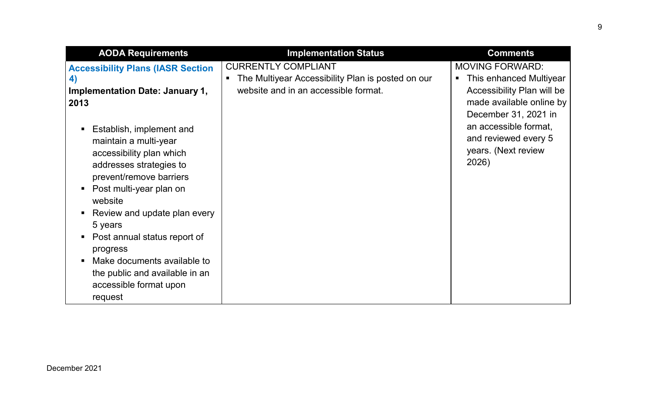<span id="page-8-0"></span>

| <b>AODA Requirements</b>                                                                                                                                                                                                                                                                                                         | <b>Implementation Status</b>                                                                                            | <b>Comments</b>                                                                                                                                                                                                      |
|----------------------------------------------------------------------------------------------------------------------------------------------------------------------------------------------------------------------------------------------------------------------------------------------------------------------------------|-------------------------------------------------------------------------------------------------------------------------|----------------------------------------------------------------------------------------------------------------------------------------------------------------------------------------------------------------------|
| <b>Accessibility Plans (IASR Section)</b><br>4)<br><b>Implementation Date: January 1,</b><br>2013<br>Establish, implement and<br>$\blacksquare$<br>maintain a multi-year<br>accessibility plan which<br>addresses strategies to<br>prevent/remove barriers<br>Post multi-year plan on<br>website<br>Review and update plan every | <b>CURRENTLY COMPLIANT</b><br>The Multiyear Accessibility Plan is posted on our<br>website and in an accessible format. | <b>MOVING FORWARD:</b><br>This enhanced Multiyear<br>Accessibility Plan will be<br>made available online by<br>December 31, 2021 in<br>an accessible format,<br>and reviewed every 5<br>years. (Next review<br>2026) |
| 5 years<br>Post annual status report of<br>$\blacksquare$<br>progress<br>Make documents available to<br>the public and available in an<br>accessible format upon<br>request                                                                                                                                                      |                                                                                                                         |                                                                                                                                                                                                                      |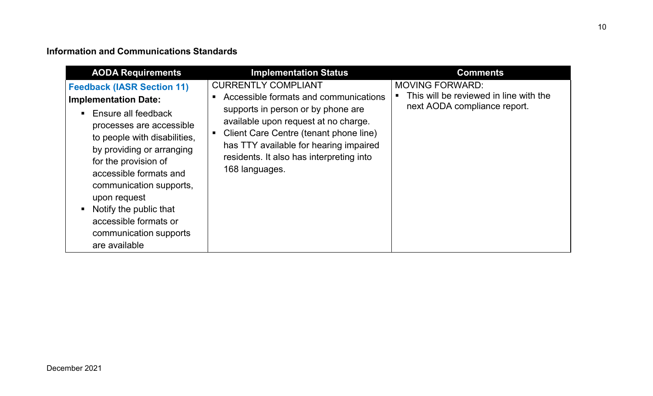### <span id="page-9-0"></span>**Information and Communications Standards**

<span id="page-9-1"></span>

| <b>AODA Requirements</b>                                                                                                                                                                                                                                                                                                                                                        | <b>Implementation Status</b>                                                                                                                                                                                                                                                                        | <b>Comments</b>                                                                                  |
|---------------------------------------------------------------------------------------------------------------------------------------------------------------------------------------------------------------------------------------------------------------------------------------------------------------------------------------------------------------------------------|-----------------------------------------------------------------------------------------------------------------------------------------------------------------------------------------------------------------------------------------------------------------------------------------------------|--------------------------------------------------------------------------------------------------|
| <b>Feedback (IASR Section 11)</b><br><b>Implementation Date:</b><br>• Ensure all feedback<br>processes are accessible<br>to people with disabilities,<br>by providing or arranging<br>for the provision of<br>accessible formats and<br>communication supports,<br>upon request<br>• Notify the public that<br>accessible formats or<br>communication supports<br>are available | <b>CURRENTLY COMPLIANT</b><br>Accessible formats and communications<br>supports in person or by phone are<br>available upon request at no charge.<br>Client Care Centre (tenant phone line)<br>has TTY available for hearing impaired<br>residents. It also has interpreting into<br>168 languages. | <b>MOVING FORWARD:</b><br>This will be reviewed in line with the<br>next AODA compliance report. |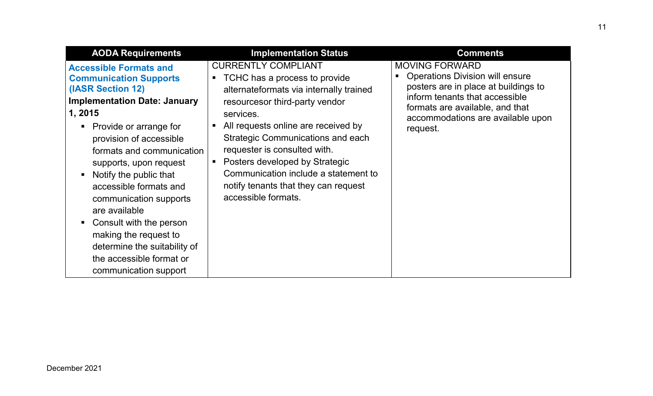| <b>AODA Requirements</b>                                                                                                                                                                                                                                                                                                                                                                                                                                                                    | <b>Implementation Status</b>                                                                                                                                                                                                                                                                                                                                                                                      | <b>Comments</b>                                                                                                                                                                                                               |
|---------------------------------------------------------------------------------------------------------------------------------------------------------------------------------------------------------------------------------------------------------------------------------------------------------------------------------------------------------------------------------------------------------------------------------------------------------------------------------------------|-------------------------------------------------------------------------------------------------------------------------------------------------------------------------------------------------------------------------------------------------------------------------------------------------------------------------------------------------------------------------------------------------------------------|-------------------------------------------------------------------------------------------------------------------------------------------------------------------------------------------------------------------------------|
| <b>Accessible Formats and</b><br><b>Communication Supports</b><br>(IASR Section 12)<br><b>Implementation Date: January</b><br>1, 2015<br>• Provide or arrange for<br>provision of accessible<br>formats and communication<br>supports, upon request<br>Notify the public that<br>accessible formats and<br>communication supports<br>are available<br>Consult with the person<br>making the request to<br>determine the suitability of<br>the accessible format or<br>communication support | <b>CURRENTLY COMPLIANT</b><br>TCHC has a process to provide<br>alternateformats via internally trained<br>resourcesor third-party vendor<br>services.<br>All requests online are received by<br><b>Strategic Communications and each</b><br>requester is consulted with.<br>Posters developed by Strategic<br>Communication include a statement to<br>notify tenants that they can request<br>accessible formats. | <b>MOVING FORWARD</b><br><b>Operations Division will ensure</b><br>posters are in place at buildings to<br>inform tenants that accessible<br>formats are available, and that<br>accommodations are available upon<br>request. |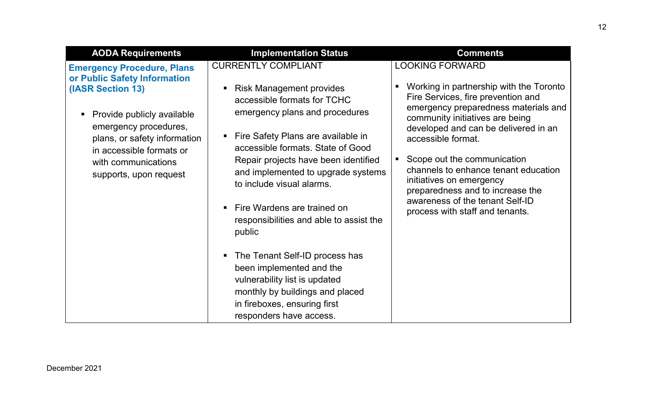<span id="page-11-0"></span>

| <b>AODA Requirements</b>                                                                                                                                                                                                                                   | <b>Implementation Status</b>                                                                                                                                                                                                                                                                                                                                                                                                                                                                                                                                                                            | <b>Comments</b>                                                                                                                                                                                                                                                                                                                                                                                                                                                    |
|------------------------------------------------------------------------------------------------------------------------------------------------------------------------------------------------------------------------------------------------------------|---------------------------------------------------------------------------------------------------------------------------------------------------------------------------------------------------------------------------------------------------------------------------------------------------------------------------------------------------------------------------------------------------------------------------------------------------------------------------------------------------------------------------------------------------------------------------------------------------------|--------------------------------------------------------------------------------------------------------------------------------------------------------------------------------------------------------------------------------------------------------------------------------------------------------------------------------------------------------------------------------------------------------------------------------------------------------------------|
| <b>Emergency Procedure, Plans</b><br>or Public Safety Information<br>(IASR Section 13)<br>Provide publicly available<br>emergency procedures,<br>plans, or safety information<br>in accessible formats or<br>with communications<br>supports, upon request | <b>CURRENTLY COMPLIANT</b><br><b>Risk Management provides</b><br>accessible formats for TCHC<br>emergency plans and procedures<br>• Fire Safety Plans are available in<br>accessible formats. State of Good<br>Repair projects have been identified<br>and implemented to upgrade systems<br>to include visual alarms.<br>Fire Wardens are trained on<br>responsibilities and able to assist the<br>public<br>The Tenant Self-ID process has<br>been implemented and the<br>vulnerability list is updated<br>monthly by buildings and placed<br>in fireboxes, ensuring first<br>responders have access. | <b>LOOKING FORWARD</b><br>Working in partnership with the Toronto<br>Fire Services, fire prevention and<br>emergency preparedness materials and<br>community initiatives are being<br>developed and can be delivered in an<br>accessible format.<br>Scope out the communication<br>ш<br>channels to enhance tenant education<br>initiatives on emergency<br>preparedness and to increase the<br>awareness of the tenant Self-ID<br>process with staff and tenants. |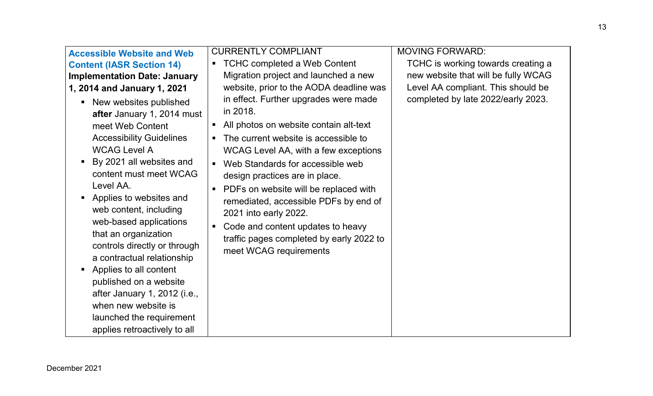| <b>Accessible Website and Web</b><br><b>Content (IASR Section 14)</b><br><b>Implementation Date: January</b><br>1, 2014 and January 1, 2021<br>• New websites published<br>after January 1, 2014 must<br>meet Web Content<br><b>Accessibility Guidelines</b><br><b>WCAG Level A</b><br>By 2021 all websites and<br>$\blacksquare$<br>content must meet WCAG<br>Level AA.<br>• Applies to websites and<br>web content, including<br>web-based applications<br>that an organization<br>controls directly or through<br>a contractual relationship<br>Applies to all content<br>$\blacksquare$ | <b>CURRENTLY COMPLIANT</b><br><b>TCHC completed a Web Content</b><br>$\blacksquare$<br>Migration project and launched a new<br>website, prior to the AODA deadline was<br>in effect. Further upgrades were made<br>in 2018.<br>All photos on website contain alt-text<br>$\blacksquare$<br>The current website is accessible to<br>$\blacksquare$<br>WCAG Level AA, with a few exceptions<br>Web Standards for accessible web<br>$\blacksquare$<br>design practices are in place.<br>PDFs on website will be replaced with<br>$\blacksquare$<br>remediated, accessible PDFs by end of<br>2021 into early 2022.<br>Code and content updates to heavy<br>$\blacksquare$<br>traffic pages completed by early 2022 to<br>meet WCAG requirements | <b>MOVING FORWARD:</b><br>TCHC is working towards creating a<br>new website that will be fully WCAG<br>Level AA compliant. This should be<br>completed by late 2022/early 2023. |
|---------------------------------------------------------------------------------------------------------------------------------------------------------------------------------------------------------------------------------------------------------------------------------------------------------------------------------------------------------------------------------------------------------------------------------------------------------------------------------------------------------------------------------------------------------------------------------------------|---------------------------------------------------------------------------------------------------------------------------------------------------------------------------------------------------------------------------------------------------------------------------------------------------------------------------------------------------------------------------------------------------------------------------------------------------------------------------------------------------------------------------------------------------------------------------------------------------------------------------------------------------------------------------------------------------------------------------------------------|---------------------------------------------------------------------------------------------------------------------------------------------------------------------------------|
| published on a website<br>after January 1, 2012 (i.e.,<br>when new website is<br>launched the requirement<br>applies retroactively to all                                                                                                                                                                                                                                                                                                                                                                                                                                                   |                                                                                                                                                                                                                                                                                                                                                                                                                                                                                                                                                                                                                                                                                                                                             |                                                                                                                                                                                 |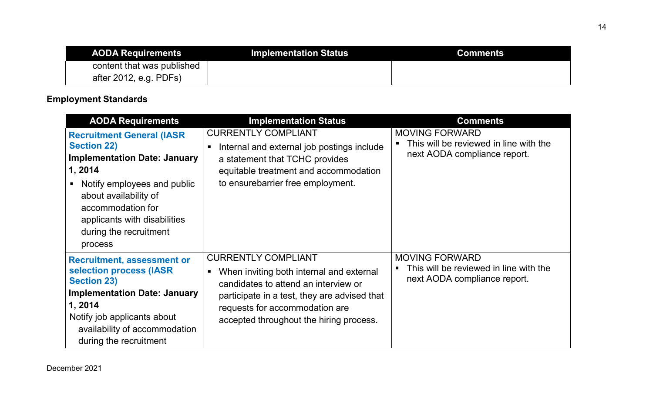| <b>AODA Requirements</b>   | <b>Implementation Status</b> | <b>Comments</b> |
|----------------------------|------------------------------|-----------------|
| content that was published |                              |                 |
| after 2012, e.g. PDFs)     |                              |                 |

## <span id="page-13-0"></span>**Employment Standards**

<span id="page-13-2"></span><span id="page-13-1"></span>

| <b>AODA Requirements</b>                                                                                                                                                                                                                                    | <b>Implementation Status</b>                                                                                                                                                                                                                | <b>Comments</b>                                                                                 |
|-------------------------------------------------------------------------------------------------------------------------------------------------------------------------------------------------------------------------------------------------------------|---------------------------------------------------------------------------------------------------------------------------------------------------------------------------------------------------------------------------------------------|-------------------------------------------------------------------------------------------------|
| <b>Recruitment General (IASR)</b><br><b>Section 22)</b><br><b>Implementation Date: January</b><br>1, 2014<br>Notify employees and public<br>about availability of<br>accommodation for<br>applicants with disabilities<br>during the recruitment<br>process | <b>CURRENTLY COMPLIANT</b><br>Internal and external job postings include<br>٠<br>a statement that TCHC provides<br>equitable treatment and accommodation<br>to ensurebarrier free employment.                                               | <b>MOVING FORWARD</b><br>This will be reviewed in line with the<br>next AODA compliance report. |
| <b>Recruitment, assessment or</b><br>selection process (IASR<br><b>Section 23)</b><br><b>Implementation Date: January</b><br>1, 2014<br>Notify job applicants about<br>availability of accommodation<br>during the recruitment                              | <b>CURRENTLY COMPLIANT</b><br>When inviting both internal and external<br>candidates to attend an interview or<br>participate in a test, they are advised that<br>requests for accommodation are<br>accepted throughout the hiring process. | <b>MOVING FORWARD</b><br>This will be reviewed in line with the<br>next AODA compliance report. |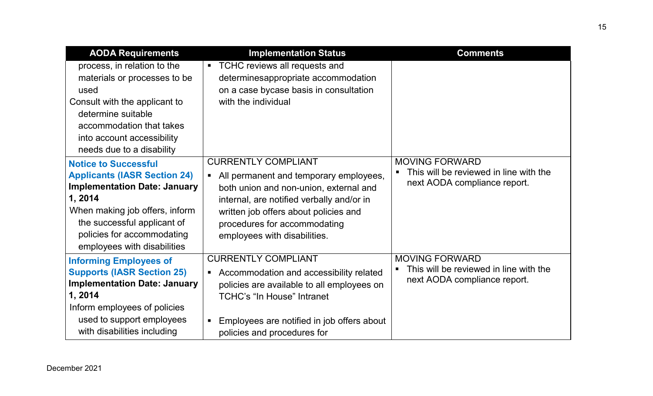<span id="page-14-1"></span><span id="page-14-0"></span>

| <b>AODA Requirements</b>                                                                                                                                                                                                                          | <b>Implementation Status</b>                                                                                                                                                                                                                                                           | <b>Comments</b>                                                                                 |
|---------------------------------------------------------------------------------------------------------------------------------------------------------------------------------------------------------------------------------------------------|----------------------------------------------------------------------------------------------------------------------------------------------------------------------------------------------------------------------------------------------------------------------------------------|-------------------------------------------------------------------------------------------------|
| process, in relation to the<br>materials or processes to be<br>used<br>Consult with the applicant to<br>determine suitable<br>accommodation that takes<br>into account accessibility<br>needs due to a disability                                 | TCHC reviews all requests and<br>$\blacksquare$<br>determinesappropriate accommodation<br>on a case bycase basis in consultation<br>with the individual                                                                                                                                |                                                                                                 |
| <b>Notice to Successful</b><br><b>Applicants (IASR Section 24)</b><br><b>Implementation Date: January</b><br>1,2014<br>When making job offers, inform<br>the successful applicant of<br>policies for accommodating<br>employees with disabilities | <b>CURRENTLY COMPLIANT</b><br>All permanent and temporary employees,<br>$\blacksquare$<br>both union and non-union, external and<br>internal, are notified verbally and/or in<br>written job offers about policies and<br>procedures for accommodating<br>employees with disabilities. | <b>MOVING FORWARD</b><br>This will be reviewed in line with the<br>next AODA compliance report. |
| <b>Informing Employees of</b><br><b>Supports (IASR Section 25)</b><br><b>Implementation Date: January</b><br>1, 2014<br>Inform employees of policies<br>used to support employees<br>with disabilities including                                  | <b>CURRENTLY COMPLIANT</b><br>Accommodation and accessibility related<br>$\blacksquare$<br>policies are available to all employees on<br><b>TCHC's "In House" Intranet</b><br>Employees are notified in job offers about<br>$\blacksquare$<br>policies and procedures for              | <b>MOVING FORWARD</b><br>This will be reviewed in line with the<br>next AODA compliance report. |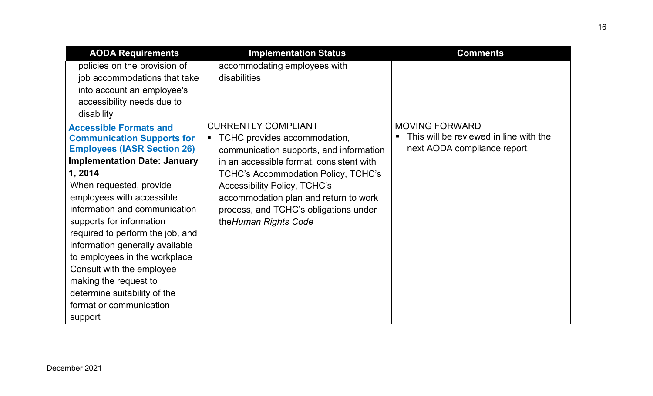<span id="page-15-0"></span>

| <b>AODA Requirements</b>                                                                                                                                                                                                                                                                                                                                                                                                                                                                                            | <b>Implementation Status</b>                                                                                                                                                                                                                                                                                                                                        | <b>Comments</b>                                                                                 |
|---------------------------------------------------------------------------------------------------------------------------------------------------------------------------------------------------------------------------------------------------------------------------------------------------------------------------------------------------------------------------------------------------------------------------------------------------------------------------------------------------------------------|---------------------------------------------------------------------------------------------------------------------------------------------------------------------------------------------------------------------------------------------------------------------------------------------------------------------------------------------------------------------|-------------------------------------------------------------------------------------------------|
| policies on the provision of<br>job accommodations that take<br>into account an employee's<br>accessibility needs due to<br>disability                                                                                                                                                                                                                                                                                                                                                                              | accommodating employees with<br>disabilities                                                                                                                                                                                                                                                                                                                        |                                                                                                 |
| <b>Accessible Formats and</b><br><b>Communication Supports for</b><br><b>Employees (IASR Section 26)</b><br><b>Implementation Date: January</b><br>1, 2014<br>When requested, provide<br>employees with accessible<br>information and communication<br>supports for information<br>required to perform the job, and<br>information generally available<br>to employees in the workplace<br>Consult with the employee<br>making the request to<br>determine suitability of the<br>format or communication<br>support | <b>CURRENTLY COMPLIANT</b><br>TCHC provides accommodation,<br>$\blacksquare$<br>communication supports, and information<br>in an accessible format, consistent with<br><b>TCHC's Accommodation Policy, TCHC's</b><br><b>Accessibility Policy, TCHC's</b><br>accommodation plan and return to work<br>process, and TCHC's obligations under<br>the Human Rights Code | <b>MOVING FORWARD</b><br>This will be reviewed in line with the<br>next AODA compliance report. |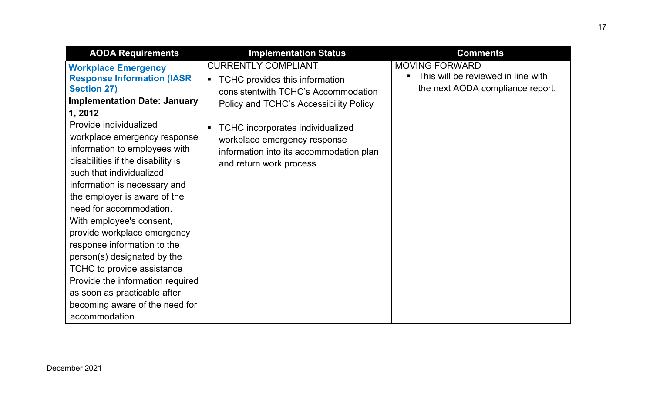<span id="page-16-0"></span>

| <b>AODA Requirements</b>                                                                                                                                                                                                                                                                                                                                                                                                                                                                                                                                                                                                                                                      | <b>Implementation Status</b>                                                                                                                                                                                                                                                                                                       | <b>Comments</b>                                                                                 |
|-------------------------------------------------------------------------------------------------------------------------------------------------------------------------------------------------------------------------------------------------------------------------------------------------------------------------------------------------------------------------------------------------------------------------------------------------------------------------------------------------------------------------------------------------------------------------------------------------------------------------------------------------------------------------------|------------------------------------------------------------------------------------------------------------------------------------------------------------------------------------------------------------------------------------------------------------------------------------------------------------------------------------|-------------------------------------------------------------------------------------------------|
| <b>Workplace Emergency</b><br><b>Response Information (IASR)</b><br><b>Section 27)</b><br><b>Implementation Date: January</b><br>1, 2012<br>Provide individualized<br>workplace emergency response<br>information to employees with<br>disabilities if the disability is<br>such that individualized<br>information is necessary and<br>the employer is aware of the<br>need for accommodation.<br>With employee's consent,<br>provide workplace emergency<br>response information to the<br>person(s) designated by the<br>TCHC to provide assistance<br>Provide the information required<br>as soon as practicable after<br>becoming aware of the need for<br>accommodation | <b>CURRENTLY COMPLIANT</b><br>TCHC provides this information<br>$\blacksquare$<br>consistentwith TCHC's Accommodation<br>Policy and TCHC's Accessibility Policy<br><b>TCHC</b> incorporates individualized<br>$\blacksquare$<br>workplace emergency response<br>information into its accommodation plan<br>and return work process | <b>MOVING FORWARD</b><br>This will be reviewed in line with<br>the next AODA compliance report. |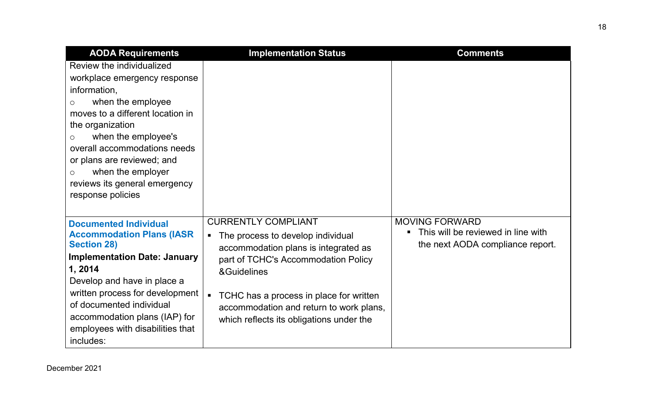<span id="page-17-0"></span>

| <b>AODA Requirements</b>                                                                                                                                                                                                                                                                                                                                | <b>Implementation Status</b>                                                                                                                                                                                                                                                                                      | <b>Comments</b>                                                                                 |
|---------------------------------------------------------------------------------------------------------------------------------------------------------------------------------------------------------------------------------------------------------------------------------------------------------------------------------------------------------|-------------------------------------------------------------------------------------------------------------------------------------------------------------------------------------------------------------------------------------------------------------------------------------------------------------------|-------------------------------------------------------------------------------------------------|
| Review the individualized<br>workplace emergency response<br>information,<br>when the employee<br>$\circ$<br>moves to a different location in<br>the organization<br>when the employee's<br>$\circ$<br>overall accommodations needs<br>or plans are reviewed; and<br>when the employer<br>$\circ$<br>reviews its general emergency<br>response policies |                                                                                                                                                                                                                                                                                                                   |                                                                                                 |
| <b>Documented Individual</b><br><b>Accommodation Plans (IASR)</b><br><b>Section 28)</b><br><b>Implementation Date: January</b><br>1, 2014<br>Develop and have in place a<br>written process for development<br>of documented individual<br>accommodation plans (IAP) for<br>employees with disabilities that<br>includes:                               | <b>CURRENTLY COMPLIANT</b><br>The process to develop individual<br>$\blacksquare$<br>accommodation plans is integrated as<br>part of TCHC's Accommodation Policy<br>&Guidelines<br>TCHC has a process in place for written<br>accommodation and return to work plans,<br>which reflects its obligations under the | <b>MOVING FORWARD</b><br>This will be reviewed in line with<br>the next AODA compliance report. |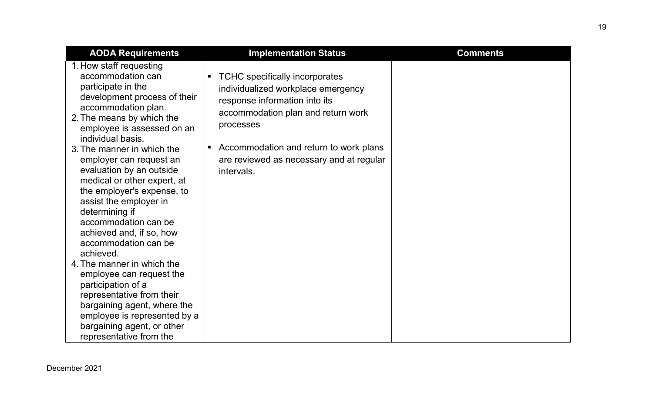| <b>AODA Requirements</b>                                                                                                                                                                                                                                                                                                                                                                                                                                                                                                                                                                                                                                                                                                              | <b>Implementation Status</b>                                                                                                                                                                                                                                                  | <b>Comments</b> |
|---------------------------------------------------------------------------------------------------------------------------------------------------------------------------------------------------------------------------------------------------------------------------------------------------------------------------------------------------------------------------------------------------------------------------------------------------------------------------------------------------------------------------------------------------------------------------------------------------------------------------------------------------------------------------------------------------------------------------------------|-------------------------------------------------------------------------------------------------------------------------------------------------------------------------------------------------------------------------------------------------------------------------------|-----------------|
| 1. How staff requesting<br>accommodation can<br>participate in the<br>development process of their<br>accommodation plan.<br>2. The means by which the<br>employee is assessed on an<br>individual basis.<br>3. The manner in which the<br>employer can request an<br>evaluation by an outside<br>medical or other expert, at<br>the employer's expense, to<br>assist the employer in<br>determining if<br>accommodation can be<br>achieved and, if so, how<br>accommodation can be<br>achieved.<br>4. The manner in which the<br>employee can request the<br>participation of a<br>representative from their<br>bargaining agent, where the<br>employee is represented by a<br>bargaining agent, or other<br>representative from the | <b>TCHC</b> specifically incorporates<br>Ξ<br>individualized workplace emergency<br>response information into its<br>accommodation plan and return work<br>processes<br>Accommodation and return to work plans<br>П<br>are reviewed as necessary and at regular<br>intervals. |                 |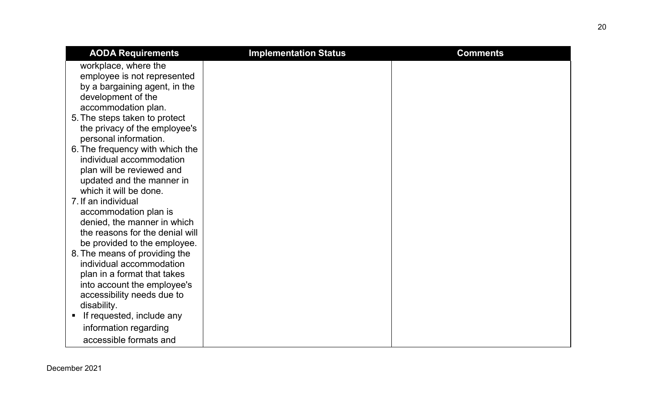| <b>AODA Requirements</b>                                      | <b>Implementation Status</b> | <b>Comments</b> |
|---------------------------------------------------------------|------------------------------|-----------------|
| workplace, where the                                          |                              |                 |
| employee is not represented                                   |                              |                 |
| by a bargaining agent, in the                                 |                              |                 |
| development of the                                            |                              |                 |
| accommodation plan.                                           |                              |                 |
| 5. The steps taken to protect                                 |                              |                 |
| the privacy of the employee's                                 |                              |                 |
| personal information.                                         |                              |                 |
| 6. The frequency with which the                               |                              |                 |
| individual accommodation                                      |                              |                 |
| plan will be reviewed and                                     |                              |                 |
| updated and the manner in                                     |                              |                 |
| which it will be done.                                        |                              |                 |
| 7. If an individual                                           |                              |                 |
| accommodation plan is                                         |                              |                 |
| denied, the manner in which                                   |                              |                 |
| the reasons for the denial will                               |                              |                 |
| be provided to the employee.<br>8. The means of providing the |                              |                 |
| individual accommodation                                      |                              |                 |
| plan in a format that takes                                   |                              |                 |
| into account the employee's                                   |                              |                 |
| accessibility needs due to                                    |                              |                 |
| disability.                                                   |                              |                 |
| If requested, include any<br>п                                |                              |                 |
| information regarding                                         |                              |                 |
|                                                               |                              |                 |
| accessible formats and                                        |                              |                 |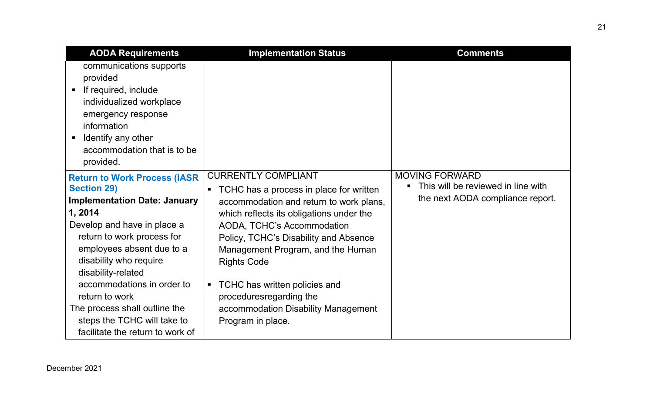<span id="page-20-0"></span>

| <b>AODA Requirements</b>                                                                                                                                                                                                                                                             | <b>Implementation Status</b>                                                                                                                                                                                                                                                                                     | <b>Comments</b>                                                                                 |
|--------------------------------------------------------------------------------------------------------------------------------------------------------------------------------------------------------------------------------------------------------------------------------------|------------------------------------------------------------------------------------------------------------------------------------------------------------------------------------------------------------------------------------------------------------------------------------------------------------------|-------------------------------------------------------------------------------------------------|
| communications supports<br>provided<br>If required, include<br>$\blacksquare$<br>individualized workplace<br>emergency response<br>information<br>Identify any other<br>٠<br>accommodation that is to be<br>provided.                                                                |                                                                                                                                                                                                                                                                                                                  |                                                                                                 |
| <b>Return to Work Process (IASR)</b><br><b>Section 29)</b><br><b>Implementation Date: January</b><br>1, 2014<br>Develop and have in place a<br>return to work process for<br>employees absent due to a<br>disability who require<br>disability-related<br>accommodations in order to | <b>CURRENTLY COMPLIANT</b><br>TCHC has a process in place for written<br>$\blacksquare$<br>accommodation and return to work plans,<br>which reflects its obligations under the<br>AODA, TCHC's Accommodation<br>Policy, TCHC's Disability and Absence<br>Management Program, and the Human<br><b>Rights Code</b> | <b>MOVING FORWARD</b><br>This will be reviewed in line with<br>the next AODA compliance report. |
| return to work<br>The process shall outline the<br>steps the TCHC will take to<br>facilitate the return to work of                                                                                                                                                                   | TCHC has written policies and<br>$\blacksquare$<br>proceduresregarding the<br>accommodation Disability Management<br>Program in place.                                                                                                                                                                           |                                                                                                 |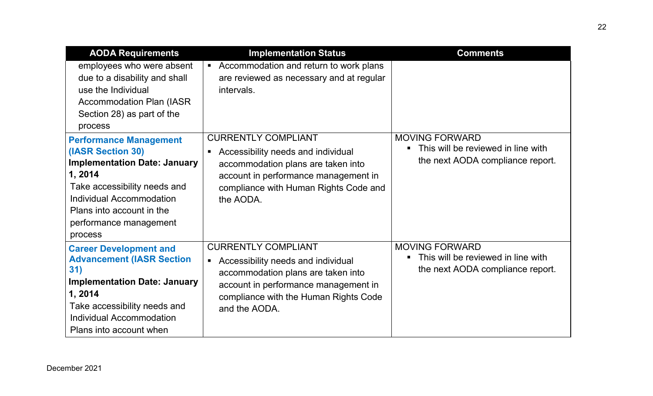<span id="page-21-1"></span><span id="page-21-0"></span>

| <b>AODA Requirements</b>                                                                                                                                                                                                           | <b>Implementation Status</b>                                                                                                                                                                                               | <b>Comments</b>                                                                                 |
|------------------------------------------------------------------------------------------------------------------------------------------------------------------------------------------------------------------------------------|----------------------------------------------------------------------------------------------------------------------------------------------------------------------------------------------------------------------------|-------------------------------------------------------------------------------------------------|
| employees who were absent<br>due to a disability and shall<br>use the Individual<br><b>Accommodation Plan (IASR)</b><br>Section 28) as part of the<br>process                                                                      | Accommodation and return to work plans<br>$\blacksquare$<br>are reviewed as necessary and at regular<br>intervals.                                                                                                         |                                                                                                 |
| <b>Performance Management</b><br>(IASR Section 30)<br><b>Implementation Date: January</b><br>1, 2014<br>Take accessibility needs and<br>Individual Accommodation<br>Plans into account in the<br>performance management<br>process | <b>CURRENTLY COMPLIANT</b><br>Accessibility needs and individual<br>$\blacksquare$<br>accommodation plans are taken into<br>account in performance management in<br>compliance with Human Rights Code and<br>the AODA.     | <b>MOVING FORWARD</b><br>This will be reviewed in line with<br>the next AODA compliance report. |
| <b>Career Development and</b><br><b>Advancement (IASR Section</b><br>31)<br><b>Implementation Date: January</b><br>1, 2014<br>Take accessibility needs and<br>Individual Accommodation<br>Plans into account when                  | <b>CURRENTLY COMPLIANT</b><br>Accessibility needs and individual<br>$\blacksquare$<br>accommodation plans are taken into<br>account in performance management in<br>compliance with the Human Rights Code<br>and the AODA. | <b>MOVING FORWARD</b><br>This will be reviewed in line with<br>the next AODA compliance report. |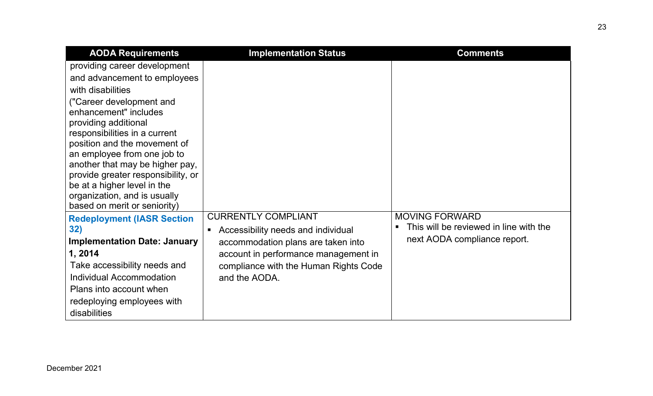<span id="page-22-0"></span>

| <b>AODA Requirements</b>                                                                                                                                                                                                                                                                                                                                                                                                                                                                                                                                              | <b>Implementation Status</b>                                                                                                                                                                              | <b>Comments</b>                                                                                                   |
|-----------------------------------------------------------------------------------------------------------------------------------------------------------------------------------------------------------------------------------------------------------------------------------------------------------------------------------------------------------------------------------------------------------------------------------------------------------------------------------------------------------------------------------------------------------------------|-----------------------------------------------------------------------------------------------------------------------------------------------------------------------------------------------------------|-------------------------------------------------------------------------------------------------------------------|
| providing career development<br>and advancement to employees<br>with disabilities<br>("Career development and<br>enhancement" includes<br>providing additional<br>responsibilities in a current<br>position and the movement of<br>an employee from one job to<br>another that may be higher pay,<br>provide greater responsibility, or<br>be at a higher level in the<br>organization, and is usually<br>based on merit or seniority)<br><b>Redeployment (IASR Section)</b><br>32)<br><b>Implementation Date: January</b><br>1, 2014<br>Take accessibility needs and | <b>CURRENTLY COMPLIANT</b><br>Accessibility needs and individual<br>$\blacksquare$<br>accommodation plans are taken into<br>account in performance management in<br>compliance with the Human Rights Code | <b>MOVING FORWARD</b><br>This will be reviewed in line with the<br>$\blacksquare$<br>next AODA compliance report. |
| Individual Accommodation<br>Plans into account when<br>redeploying employees with<br>disabilities                                                                                                                                                                                                                                                                                                                                                                                                                                                                     | and the AODA.                                                                                                                                                                                             |                                                                                                                   |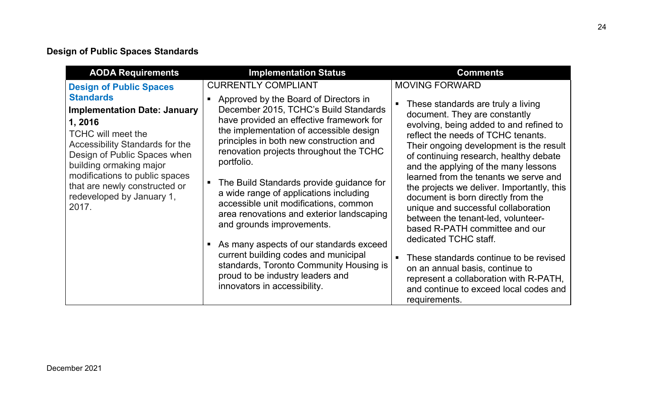## <span id="page-23-0"></span>**Design of Public Spaces Standards**

<span id="page-23-1"></span>

| <b>AODA Requirements</b>                                                                                                                                                                                                                                                                                                                        | <b>Implementation Status</b>                                                                                                                                                                                                                                                                                                                                                                                                                                                                                                                                                                                                                                                                                                                           | <b>Comments</b>                                                                                                                                                                                                                                                                                                                                                                                                                                                                                                                                                                                                                                                                                                                                                   |
|-------------------------------------------------------------------------------------------------------------------------------------------------------------------------------------------------------------------------------------------------------------------------------------------------------------------------------------------------|--------------------------------------------------------------------------------------------------------------------------------------------------------------------------------------------------------------------------------------------------------------------------------------------------------------------------------------------------------------------------------------------------------------------------------------------------------------------------------------------------------------------------------------------------------------------------------------------------------------------------------------------------------------------------------------------------------------------------------------------------------|-------------------------------------------------------------------------------------------------------------------------------------------------------------------------------------------------------------------------------------------------------------------------------------------------------------------------------------------------------------------------------------------------------------------------------------------------------------------------------------------------------------------------------------------------------------------------------------------------------------------------------------------------------------------------------------------------------------------------------------------------------------------|
| <b>Design of Public Spaces</b><br><b>Standards</b><br><b>Implementation Date: January</b><br>1, 2016<br><b>TCHC will meet the</b><br><b>Accessibility Standards for the</b><br>Design of Public Spaces when<br>building ormaking major<br>modifications to public spaces<br>that are newly constructed or<br>redeveloped by January 1,<br>2017. | <b>CURRENTLY COMPLIANT</b><br>Approved by the Board of Directors in<br>$\blacksquare$<br>December 2015, TCHC's Build Standards<br>have provided an effective framework for<br>the implementation of accessible design<br>principles in both new construction and<br>renovation projects throughout the TCHC<br>portfolio.<br>The Build Standards provide guidance for<br>a wide range of applications including<br>accessible unit modifications, common<br>area renovations and exterior landscaping<br>and grounds improvements.<br>As many aspects of our standards exceed<br>$\blacksquare$<br>current building codes and municipal<br>standards, Toronto Community Housing is<br>proud to be industry leaders and<br>innovators in accessibility. | <b>MOVING FORWARD</b><br>These standards are truly a living<br>document. They are constantly<br>evolving, being added to and refined to<br>reflect the needs of TCHC tenants.<br>Their ongoing development is the result<br>of continuing research, healthy debate<br>and the applying of the many lessons<br>learned from the tenants we serve and<br>the projects we deliver. Importantly, this<br>document is born directly from the<br>unique and successful collaboration<br>between the tenant-led, volunteer-<br>based R-PATH committee and our<br>dedicated TCHC staff.<br>These standards continue to be revised<br>on an annual basis, continue to<br>represent a collaboration with R-PATH,<br>and continue to exceed local codes and<br>requirements. |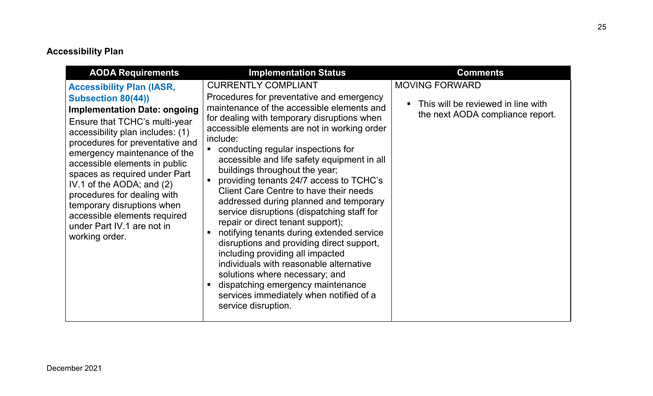## **Accessibility Plan**

<span id="page-24-1"></span><span id="page-24-0"></span>

| <b>AODA Requirements</b>                                                                                                                                                                                                                                                                                                                                                                                                                                                                 | <b>Implementation Status</b>                                                                                                                                                                                                                                                                                                                                                                                                                                                                                                                                                                                                                                                                                                                                                                                                                                                                         | <b>Comments</b>                                                                                 |
|------------------------------------------------------------------------------------------------------------------------------------------------------------------------------------------------------------------------------------------------------------------------------------------------------------------------------------------------------------------------------------------------------------------------------------------------------------------------------------------|------------------------------------------------------------------------------------------------------------------------------------------------------------------------------------------------------------------------------------------------------------------------------------------------------------------------------------------------------------------------------------------------------------------------------------------------------------------------------------------------------------------------------------------------------------------------------------------------------------------------------------------------------------------------------------------------------------------------------------------------------------------------------------------------------------------------------------------------------------------------------------------------------|-------------------------------------------------------------------------------------------------|
| <b>Accessibility Plan (IASR,</b><br><b>Subsection 80(44))</b><br><b>Implementation Date: ongoing</b><br>Ensure that TCHC's multi-year<br>accessibility plan includes: (1)<br>procedures for preventative and<br>emergency maintenance of the<br>accessible elements in public<br>spaces as required under Part<br>IV.1 of the AODA; and (2)<br>procedures for dealing with<br>temporary disruptions when<br>accessible elements required<br>under Part IV.1 are not in<br>working order. | <b>CURRENTLY COMPLIANT</b><br>Procedures for preventative and emergency<br>maintenance of the accessible elements and<br>for dealing with temporary disruptions when<br>accessible elements are not in working order<br>include:<br>• conducting regular inspections for<br>accessible and life safety equipment in all<br>buildings throughout the year;<br>providing tenants 24/7 access to TCHC's<br><b>Client Care Centre to have their needs</b><br>addressed during planned and temporary<br>service disruptions (dispatching staff for<br>repair or direct tenant support);<br>notifying tenants during extended service<br>disruptions and providing direct support,<br>including providing all impacted<br>individuals with reasonable alternative<br>solutions where necessary; and<br>dispatching emergency maintenance<br>services immediately when notified of a<br>service disruption. | <b>MOVING FORWARD</b><br>This will be reviewed in line with<br>the next AODA compliance report. |